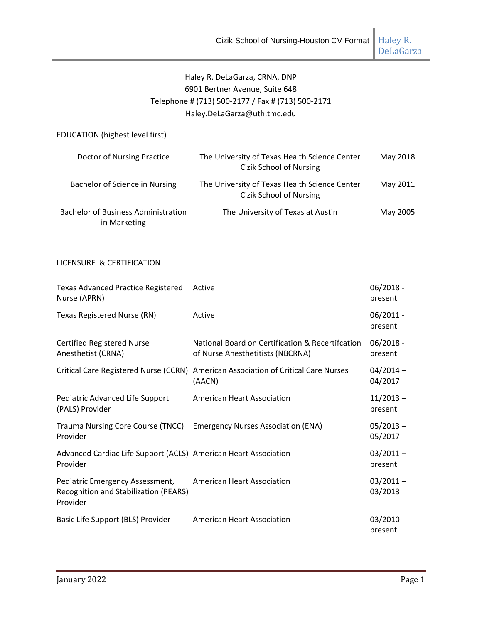DeLaGarza

# Haley R. DeLaGarza, CRNA, DNP 6901 Bertner Avenue, Suite 648 Telephone # (713) 500-2177 / Fax # (713) 500-2171 Haley.DeLaGarza@uth.tmc.edu

### EDUCATION (highest level first)

| Doctor of Nursing Practice                                 | The University of Texas Health Science Center<br>Cizik School of Nursing | May 2018 |
|------------------------------------------------------------|--------------------------------------------------------------------------|----------|
| Bachelor of Science in Nursing                             | The University of Texas Health Science Center<br>Cizik School of Nursing | May 2011 |
| <b>Bachelor of Business Administration</b><br>in Marketing | The University of Texas at Austin                                        | May 2005 |

### LICENSURE & CERTIFICATION

| Texas Advanced Practice Registered Active<br>Nurse (APRN)                            |                                                                                              | $06/2018 -$<br>present |
|--------------------------------------------------------------------------------------|----------------------------------------------------------------------------------------------|------------------------|
| Texas Registered Nurse (RN)                                                          | Active                                                                                       | $06/2011 -$<br>present |
| <b>Certified Registered Nurse</b><br>Anesthetist (CRNA)                              | National Board on Certification & Recertifcation<br>of Nurse Anesthetitists (NBCRNA)         | $06/2018 -$<br>present |
|                                                                                      | Critical Care Registered Nurse (CCRN) American Association of Critical Care Nurses<br>(AACN) | $04/2014 -$<br>04/2017 |
| Pediatric Advanced Life Support<br>(PALS) Provider                                   | <b>American Heart Association</b>                                                            | $11/2013 -$<br>present |
| Trauma Nursing Core Course (TNCC) Emergency Nurses Association (ENA)<br>Provider     |                                                                                              | $05/2013 -$<br>05/2017 |
| Advanced Cardiac Life Support (ACLS) American Heart Association<br>Provider          |                                                                                              | $03/2011 -$<br>present |
| Pediatric Emergency Assessment,<br>Recognition and Stabilization (PEARS)<br>Provider | <b>American Heart Association</b>                                                            | $03/2011 -$<br>03/2013 |
| Basic Life Support (BLS) Provider                                                    | <b>American Heart Association</b>                                                            | $03/2010 -$<br>present |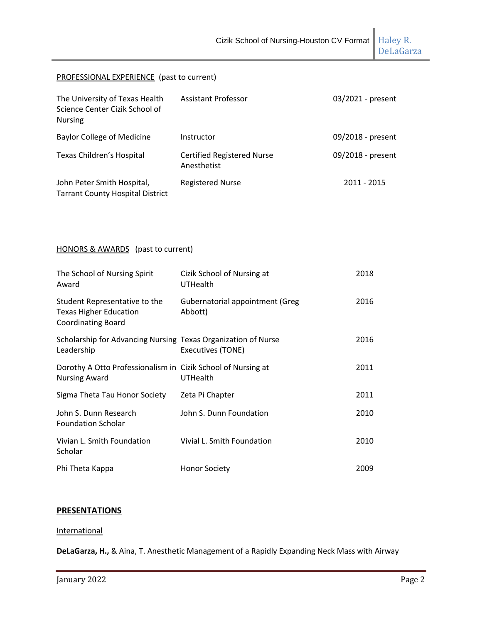DeLaGarza

### PROFESSIONAL EXPERIENCE (past to current)

| The University of Texas Health<br>Science Center Cizik School of<br><b>Nursing</b> | <b>Assistant Professor</b>                       | 03/2021 - present |
|------------------------------------------------------------------------------------|--------------------------------------------------|-------------------|
| <b>Baylor College of Medicine</b>                                                  | Instructor                                       | 09/2018 - present |
| Texas Children's Hospital                                                          | <b>Certified Registered Nurse</b><br>Anesthetist | 09/2018 - present |
| John Peter Smith Hospital,<br><b>Tarrant County Hospital District</b>              | <b>Registered Nurse</b>                          | 2011 - 2015       |

### HONORS & AWARDS (past to current)

| The School of Nursing Spirit<br>Award                                                       | Cizik School of Nursing at<br>UTHealth            | 2018 |
|---------------------------------------------------------------------------------------------|---------------------------------------------------|------|
| Student Representative to the<br><b>Texas Higher Education</b><br><b>Coordinating Board</b> | <b>Gubernatorial appointment (Greg</b><br>Abbott) | 2016 |
| Scholarship for Advancing Nursing Texas Organization of Nurse<br>Leadership                 | Executives (TONE)                                 | 2016 |
| Dorothy A Otto Professionalism in Cizik School of Nursing at<br><b>Nursing Award</b>        | UTHealth                                          | 2011 |
| Sigma Theta Tau Honor Society                                                               | Zeta Pi Chapter                                   | 2011 |
| John S. Dunn Research<br><b>Foundation Scholar</b>                                          | John S. Dunn Foundation                           | 2010 |
| Vivian L. Smith Foundation<br>Scholar                                                       | Vivial L. Smith Foundation                        | 2010 |
| Phi Theta Kappa                                                                             | <b>Honor Society</b>                              | 2009 |

### **PRESENTATIONS**

#### **International**

**DeLaGarza, H.,** & Aina, T. Anesthetic Management of a Rapidly Expanding Neck Mass with Airway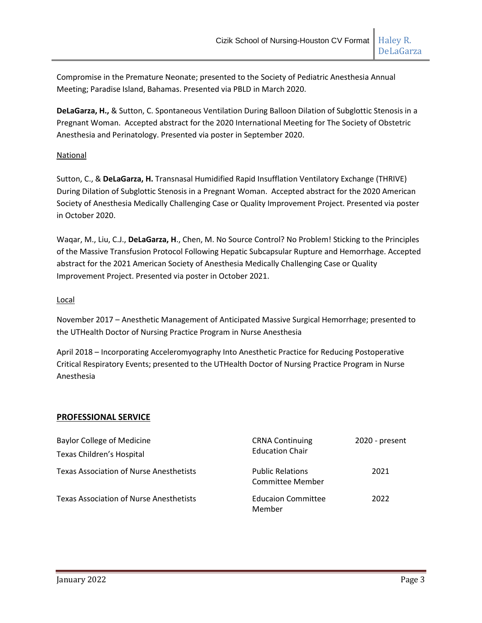**DeLaGarza, H.,** & Sutton, C. Spontaneous Ventilation During Balloon Dilation of Subglottic Stenosis in a Pregnant Woman. Accepted abstract for the 2020 International Meeting for The Society of Obstetric Anesthesia and Perinatology. Presented via poster in September 2020.

### National

Sutton, C., & **DeLaGarza, H.** Transnasal Humidified Rapid Insufflation Ventilatory Exchange (THRIVE) During Dilation of Subglottic Stenosis in a Pregnant Woman. Accepted abstract for the 2020 American Society of Anesthesia Medically Challenging Case or Quality Improvement Project. Presented via poster in October 2020.

Waqar, M., Liu, C.J., **DeLaGarza, H**., Chen, M. No Source Control? No Problem! Sticking to the Principles of the Massive Transfusion Protocol Following Hepatic Subcapsular Rupture and Hemorrhage. Accepted abstract for the 2021 American Society of Anesthesia Medically Challenging Case or Quality Improvement Project. Presented via poster in October 2021.

### Local

November 2017 – Anesthetic Management of Anticipated Massive Surgical Hemorrhage; presented to the UTHealth Doctor of Nursing Practice Program in Nurse Anesthesia

April 2018 – Incorporating Acceleromyography Into Anesthetic Practice for Reducing Postoperative Critical Respiratory Events; presented to the UTHealth Doctor of Nursing Practice Program in Nurse Anesthesia

### **PROFESSIONAL SERVICE**

| <b>Baylor College of Medicine</b>              | <b>CRNA Continuing</b><br><b>Education Chair</b> | 2020 - present |
|------------------------------------------------|--------------------------------------------------|----------------|
| Texas Children's Hospital                      |                                                  |                |
| <b>Texas Association of Nurse Anesthetists</b> | <b>Public Relations</b><br>Committee Member      | 2021           |
| <b>Texas Association of Nurse Anesthetists</b> | <b>Educaion Committee</b><br>Member              | 2022           |